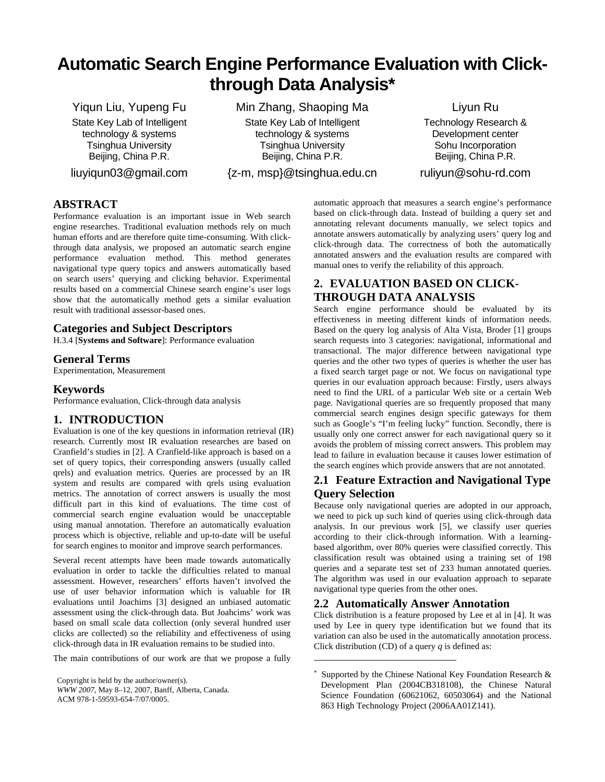# **Automatic Search Engine Performance Evaluation with Clickthrough Data Analysis\***

Yiqun Liu, Yupeng Fu State Key Lab of Intelligent technology & systems Tsinghua University Beijing, China P.R.

liuyiqun03@gmail.com

Min Zhang, Shaoping Ma State Key Lab of Intelligent technology & systems Tsinghua University Beijing, China P.R.

{z-m, msp}@tsinghua.edu.cn

Liyun Ru

Technology Research & Development center Sohu Incorporation Beijing, China P.R.

ruliyun@sohu-rd.com

# **ABSTRACT**

Performance evaluation is an important issue in Web search engine researches. Traditional evaluation methods rely on much human efforts and are therefore quite time-consuming. With clickthrough data analysis, we proposed an automatic search engine performance evaluation method. This method generates navigational type query topics and answers automatically based on search users' querying and clicking behavior. Experimental results based on a commercial Chinese search engine's user logs show that the automatically method gets a similar evaluation result with traditional assessor-based ones.

# **Categories and Subject Descriptors**

H.3.4 [**Systems and Software**]: Performance evaluation

## **General Terms**

Experimentation, Measurement

## **Keywords**

Performance evaluation, Click-through data analysis

## **1. INTRODUCTION**

Evaluation is one of the key questions in information retrieval (IR) research. Currently most IR evaluation researches are based on Cranfield's studies in [\[2\].](#page-1-0) A Cranfield-like approach is based on a set of query topics, their corresponding answers (usually called qrels) and evaluation metrics. Queries are processed by an IR system and results are compared with qrels using evaluation metrics. The annotation of correct answers is usually the most difficult part in this kind of evaluations. The time cost of commercial search engine evaluation would be unacceptable using manual annotation. Therefore an automatically evaluation process which is objective, reliable and up-to-date will be useful for search engines to monitor and improve search performances.

Several recent attempts have been made towards automatically evaluation in order to tackle the difficulties related to manual assessment. However, researchers' efforts haven't involved the use of user behavior information which is valuable for IR evaluations until Joachims [\[3\]](#page-1-1) designed an unbiased automatic assessment using the click-through data. But Joahcims' work was based on small scale data collection (only several hundred user clicks are collected) so the reliability and effectiveness of using click-through data in IR evaluation remains to be studied into.

<span id="page-0-0"></span>The main contributions of our work are that we propose a fully

automatic approach that measures a search engine's performance based on click-through data. Instead of building a query set and annotating relevant documents manually, we select topics and annotate answers automatically by analyzing users' query log and click-through data. The correctness of both the automatically annotated answers and the evaluation results are compared with manual ones to verify the reliability of this approach.

# **2. EVALUATION BASED ON CLICK-THROUGH DATA ANALYSIS**[∗](#page-0-0)

Search engine performance should be evaluated by its effectiveness in meeting different kinds of information needs. Based on the query log analysis of Alta Vista, Broder [\[1\]](#page-1-2) groups search requests into 3 categories: navigational, informational and transactional. The major difference between navigational type queries and the other two types of queries is whether the user has a fixed search target page or not. We focus on navigational type queries in our evaluation approach because: Firstly, users always need to find the URL of a particular Web site or a certain Web page. Navigational queries are so frequently proposed that many commercial search engines design specific gateways for them such as Google's "I'm feeling lucky" function. Secondly, there is usually only one correct answer for each navigational query so it avoids the problem of missing correct answers. This problem may lead to failure in evaluation because it causes lower estimation of the search engines which provide answers that are not annotated.

# **2.1 Feature Extraction and Navigational Type Query Selection**

Because only navigational queries are adopted in our approach, we need to pick up such kind of queries using click-through data analysis. In our previous work [\[5\]](#page-1-3), we classify user queries according to their click-through information. With a learningbased algorithm, over 80% queries were classified correctly. This classification result was obtained using a training set of 198 queries and a separate test set of 233 human annotated queries. The algorithm was used in our evaluation approach to separate navigational type queries from the other ones.

# **2.2 Automatically Answer Annotation**

 $\overline{a}$ 

Click distribution is a feature proposed by Lee et al in [\[4\].](#page-1-4) It was used by Lee in query type identification but we found that its variation can also be used in the automatically annotation process. Click distribution (CD) of a query *q* is defined as:

Copyright is held by the author/owner(s). *WWW 2007,* May 8–12, 2007, Banff, Alberta, Canada. ACM 978-1-59593-654-7/07/0005.

<sup>∗</sup> Supported by the Chinese National Key Foundation Research & Development Plan (2004CB318108), the Chinese Natural Science Foundation (60621062, 60503064) and the National 863 High Technology Project (2006AA01Z141).